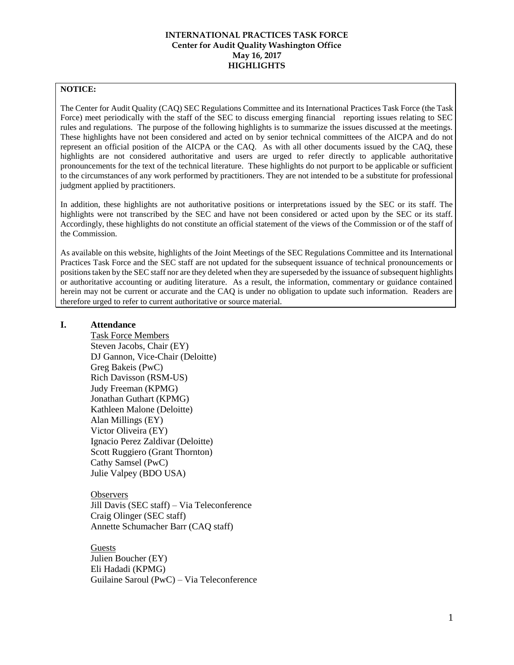#### **NOTICE:**

The Center for Audit Quality (CAQ) SEC Regulations Committee and its International Practices Task Force (the Task Force) meet periodically with the staff of the SEC to discuss emerging financial reporting issues relating to SEC rules and regulations. The purpose of the following highlights is to summarize the issues discussed at the meetings. These highlights have not been considered and acted on by senior technical committees of the AICPA and do not represent an official position of the AICPA or the CAQ. As with all other documents issued by the CAQ, these highlights are not considered authoritative and users are urged to refer directly to applicable authoritative pronouncements for the text of the technical literature. These highlights do not purport to be applicable or sufficient to the circumstances of any work performed by practitioners. They are not intended to be a substitute for professional judgment applied by practitioners.

In addition, these highlights are not authoritative positions or interpretations issued by the SEC or its staff. The highlights were not transcribed by the SEC and have not been considered or acted upon by the SEC or its staff. Accordingly, these highlights do not constitute an official statement of the views of the Commission or of the staff of the Commission.

As available on this website, highlights of the Joint Meetings of the SEC Regulations Committee and its International Practices Task Force and the SEC staff are not updated for the subsequent issuance of technical pronouncements or positions taken by the SEC staff nor are they deleted when they are superseded by the issuance of subsequent highlights or authoritative accounting or auditing literature. As a result, the information, commentary or guidance contained herein may not be current or accurate and the CAQ is under no obligation to update such information. Readers are therefore urged to refer to current authoritative or source material.

#### **I. Attendance**

Task Force Members Steven Jacobs, Chair (EY) DJ Gannon, Vice-Chair (Deloitte) Greg Bakeis (PwC) Rich Davisson (RSM-US) Judy Freeman (KPMG) Jonathan Guthart (KPMG) Kathleen Malone (Deloitte) Alan Millings (EY) Victor Oliveira (EY) Ignacio Perez Zaldivar (Deloitte) Scott Ruggiero (Grant Thornton) Cathy Samsel (PwC) Julie Valpey (BDO USA)

**Observers** Jill Davis (SEC staff) – Via Teleconference Craig Olinger (SEC staff) Annette Schumacher Barr (CAQ staff)

Guests Julien Boucher (EY) Eli Hadadi (KPMG) Guilaine Saroul (PwC) – Via Teleconference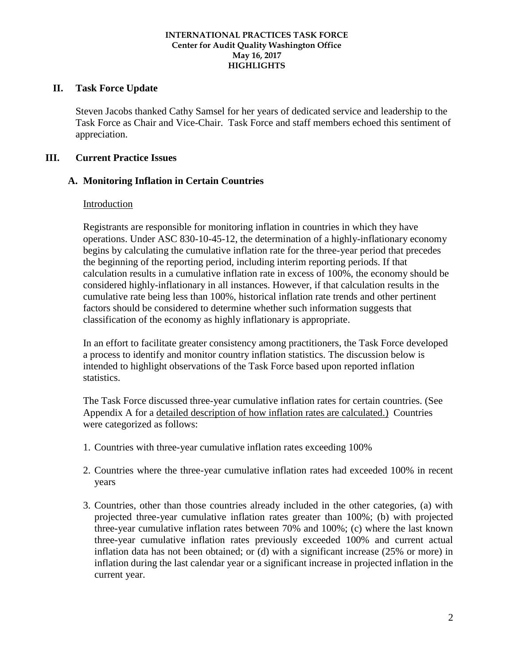### **II. Task Force Update**

Steven Jacobs thanked Cathy Samsel for her years of dedicated service and leadership to the Task Force as Chair and Vice-Chair. Task Force and staff members echoed this sentiment of appreciation.

### **III. Current Practice Issues**

### **A. Monitoring Inflation in Certain Countries**

### Introduction

Registrants are responsible for monitoring inflation in countries in which they have operations. Under ASC 830-10-45-12, the determination of a highly-inflationary economy begins by calculating the cumulative inflation rate for the three-year period that precedes the beginning of the reporting period, including interim reporting periods. If that calculation results in a cumulative inflation rate in excess of 100%, the economy should be considered highly-inflationary in all instances. However, if that calculation results in the cumulative rate being less than 100%, historical inflation rate trends and other pertinent factors should be considered to determine whether such information suggests that classification of the economy as highly inflationary is appropriate.

In an effort to facilitate greater consistency among practitioners, the Task Force developed a process to identify and monitor country inflation statistics. The discussion below is intended to highlight observations of the Task Force based upon reported inflation statistics.

The Task Force discussed three-year cumulative inflation rates for certain countries. (See Appendix A for a detailed description of how inflation rates are calculated.) Countries were categorized as follows:

- 1. Countries with three-year cumulative inflation rates exceeding 100%
- 2. Countries where the three-year cumulative inflation rates had exceeded 100% in recent years
- 3. Countries, other than those countries already included in the other categories, (a) with projected three-year cumulative inflation rates greater than 100%; (b) with projected three-year cumulative inflation rates between 70% and 100%; (c) where the last known three-year cumulative inflation rates previously exceeded 100% and current actual inflation data has not been obtained; or (d) with a significant increase (25% or more) in inflation during the last calendar year or a significant increase in projected inflation in the current year.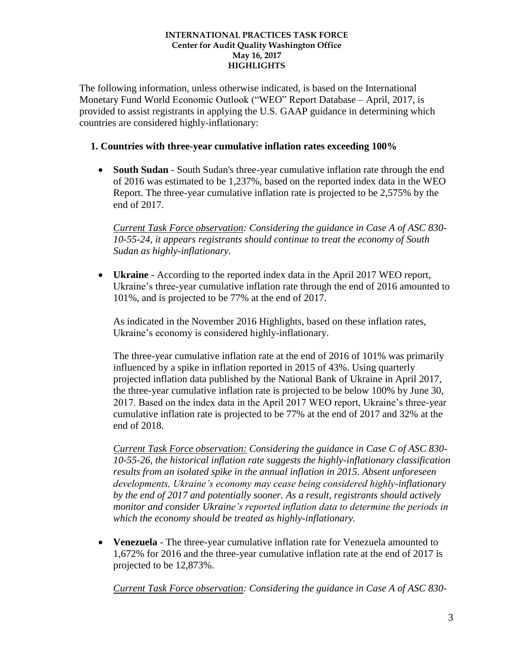The following information, unless otherwise indicated, is based on the International Monetary Fund World Economic Outlook ("WEO" Report Database – April, 2017, is provided to assist registrants in applying the U.S. GAAP guidance in determining which countries are considered highly-inflationary:

### **1. Countries with three-year cumulative inflation rates exceeding 100%**

• **South Sudan** - South Sudan's three-year cumulative inflation rate through the end of 2016 was estimated to be 1,237%, based on the reported index data in the WEO Report. The three-year cumulative inflation rate is projected to be 2,575% by the end of 2017.

*Current Task Force observation: Considering the guidance in Case A of ASC 830- 10-55-24, it appears registrants should continue to treat the economy of South Sudan as highly-inflationary.*

• **Ukraine** - According to the reported index data in the April 2017 WEO report, Ukraine's three-year cumulative inflation rate through the end of 2016 amounted to 101%, and is projected to be 77% at the end of 2017.

As indicated in the November 2016 Highlights, based on these inflation rates, Ukraine's economy is considered highly-inflationary.

The three-year cumulative inflation rate at the end of 2016 of 101% was primarily influenced by a spike in inflation reported in 2015 of 43%. Using quarterly projected inflation data published by the National Bank of Ukraine in April 2017, the three-year cumulative inflation rate is projected to be below 100% by June 30, 2017. Based on the index data in the April 2017 WEO report, Ukraine's three-year cumulative inflation rate is projected to be 77% at the end of 2017 and 32% at the end of 2018.

*Current Task Force observation: Considering the guidance in Case C of ASC 830- 10-55-26, the historical inflation rate suggests the highly-inflationary classification results from an isolated spike in the annual inflation in 2015. Absent unforeseen developments, Ukraine's economy may cease being considered highly-inflationary by the end of 2017 and potentially sooner. As a result, registrants should actively monitor and consider Ukraine's reported inflation data to determine the periods in which the economy should be treated as highly-inflationary.*

• **Venezuela** - The three-year cumulative inflation rate for Venezuela amounted to 1,672% for 2016 and the three-year cumulative inflation rate at the end of 2017 is projected to be 12,873%.

*Current Task Force observation: Considering the guidance in Case A of ASC 830-*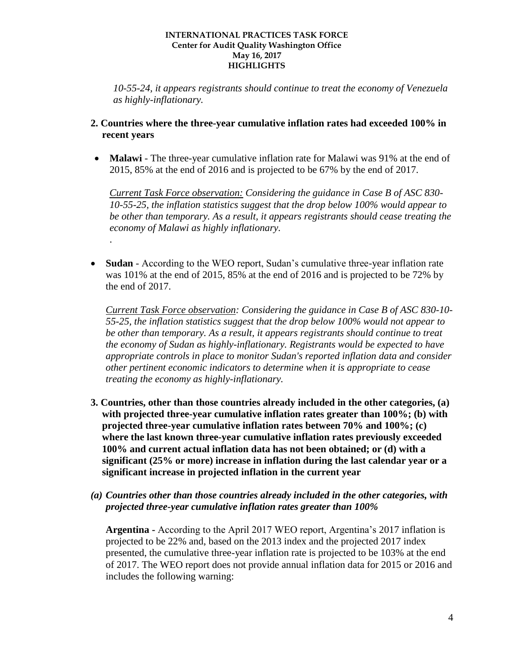*10-55-24, it appears registrants should continue to treat the economy of Venezuela as highly-inflationary.*

# **2. Countries where the three-year cumulative inflation rates had exceeded 100% in recent years**

• **Malawi** - The three-year cumulative inflation rate for Malawi was 91% at the end of 2015, 85% at the end of 2016 and is projected to be 67% by the end of 2017.

*Current Task Force observation: Considering the guidance in Case B of ASC 830- 10-55-25, the inflation statistics suggest that the drop below 100% would appear to be other than temporary. As a result, it appears registrants should cease treating the economy of Malawi as highly inflationary.* 

• **Sudan** - According to the WEO report, Sudan's cumulative three-year inflation rate was 101% at the end of 2015, 85% at the end of 2016 and is projected to be 72% by the end of 2017.

.

*Current Task Force observation: Considering the guidance in Case B of ASC 830-10- 55-25, the inflation statistics suggest that the drop below 100% would not appear to be other than temporary. As a result, it appears registrants should continue to treat the economy of Sudan as highly-inflationary. Registrants would be expected to have appropriate controls in place to monitor Sudan's reported inflation data and consider other pertinent economic indicators to determine when it is appropriate to cease treating the economy as highly-inflationary.*

- **3. Countries, other than those countries already included in the other categories, (a) with projected three-year cumulative inflation rates greater than 100%; (b) with projected three-year cumulative inflation rates between 70% and 100%; (c) where the last known three-year cumulative inflation rates previously exceeded 100% and current actual inflation data has not been obtained; or (d) with a significant (25% or more) increase in inflation during the last calendar year or a significant increase in projected inflation in the current year**
- *(a) Countries other than those countries already included in the other categories, with projected three-year cumulative inflation rates greater than 100%*

**Argentina -** According to the April 2017 WEO report, Argentina's 2017 inflation is projected to be 22% and, based on the 2013 index and the projected 2017 index presented, the cumulative three-year inflation rate is projected to be 103% at the end of 2017. The WEO report does not provide annual inflation data for 2015 or 2016 and includes the following warning: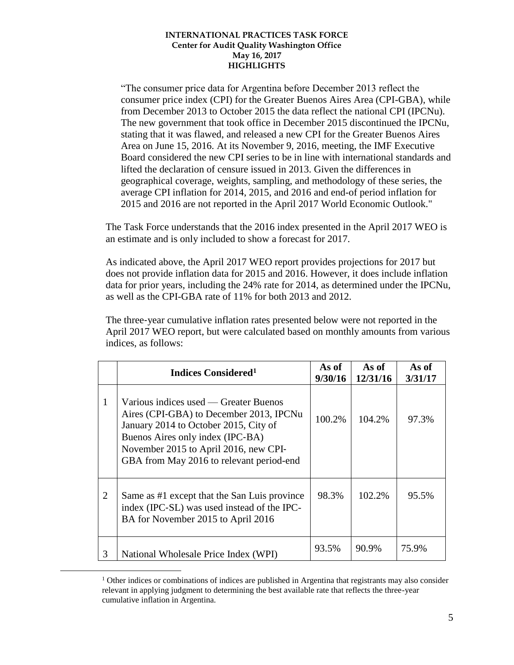"The consumer price data for Argentina before December 2013 reflect the consumer price index (CPI) for the Greater Buenos Aires Area (CPI-GBA), while from December 2013 to October 2015 the data reflect the national CPI (IPCNu). The new government that took office in December 2015 discontinued the IPCNu, stating that it was flawed, and released a new CPI for the Greater Buenos Aires Area on June 15, 2016. At its November 9, 2016, meeting, the IMF Executive Board considered the new CPI series to be in line with international standards and lifted the declaration of censure issued in 2013. Given the differences in geographical coverage, weights, sampling, and methodology of these series, the average CPI inflation for 2014, 2015, and 2016 and end-of period inflation for 2015 and 2016 are not reported in the April 2017 World Economic Outlook."

The Task Force understands that the 2016 index presented in the April 2017 WEO is an estimate and is only included to show a forecast for 2017.

As indicated above, the April 2017 WEO report provides projections for 2017 but does not provide inflation data for 2015 and 2016. However, it does include inflation data for prior years, including the 24% rate for 2014, as determined under the IPCNu, as well as the CPI-GBA rate of 11% for both 2013 and 2012.

The three‐year cumulative inflation rates presented below were not reported in the April 2017 WEO report, but were calculated based on monthly amounts from various indices, as follows:

|   | Indices Considered <sup>1</sup>                                                                                                                                                                                                                    | As of<br>9/30/16 | As of<br>12/31/16 | As of<br>3/31/17 |
|---|----------------------------------------------------------------------------------------------------------------------------------------------------------------------------------------------------------------------------------------------------|------------------|-------------------|------------------|
|   | Various indices used — Greater Buenos<br>Aires (CPI-GBA) to December 2013, IPCNu<br>January 2014 to October 2015, City of<br>Buenos Aires only index (IPC-BA)<br>November 2015 to April 2016, new CPI-<br>GBA from May 2016 to relevant period-end | 100.2%           | 104.2%            | 97.3%            |
| 2 | Same as #1 except that the San Luis province<br>index (IPC-SL) was used instead of the IPC-<br>BA for November 2015 to April 2016                                                                                                                  | 98.3%            | 102.2%            | 95.5%            |
| 3 | National Wholesale Price Index (WPI)                                                                                                                                                                                                               | 93.5%            | 90.9%             | 75.9%            |

<sup>1</sup> Other indices or combinations of indices are published in Argentina that registrants may also consider relevant in applying judgment to determining the best available rate that reflects the three-year cumulative inflation in Argentina.

 $\overline{a}$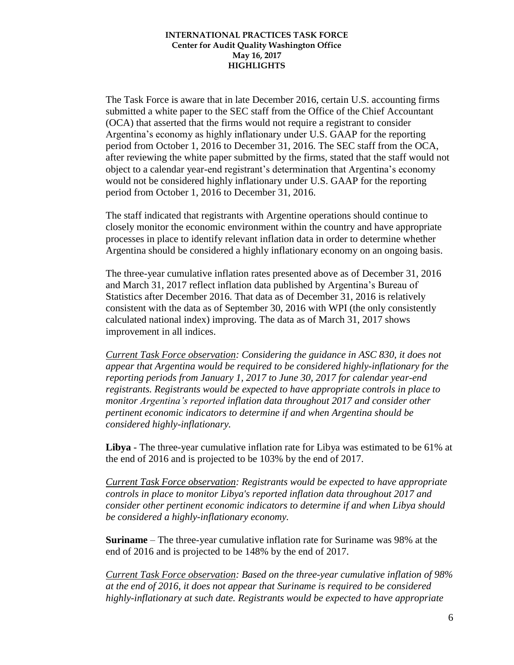The Task Force is aware that in late December 2016, certain U.S. accounting firms submitted a white paper to the SEC staff from the Office of the Chief Accountant (OCA) that asserted that the firms would not require a registrant to consider Argentina's economy as highly inflationary under U.S. GAAP for the reporting period from October 1, 2016 to December 31, 2016. The SEC staff from the OCA, after reviewing the white paper submitted by the firms, stated that the staff would not object to a calendar year-end registrant's determination that Argentina's economy would not be considered highly inflationary under U.S. GAAP for the reporting period from October 1, 2016 to December 31, 2016.

The staff indicated that registrants with Argentine operations should continue to closely monitor the economic environment within the country and have appropriate processes in place to identify relevant inflation data in order to determine whether Argentina should be considered a highly inflationary economy on an ongoing basis.

The three-year cumulative inflation rates presented above as of December 31, 2016 and March 31, 2017 reflect inflation data published by Argentina's Bureau of Statistics after December 2016. That data as of December 31, 2016 is relatively consistent with the data as of September 30, 2016 with WPI (the only consistently calculated national index) improving. The data as of March 31, 2017 shows improvement in all indices.

*Current Task Force observation: Considering the guidance in ASC 830, it does not appear that Argentina would be required to be considered highly-inflationary for the reporting periods from January 1, 2017 to June 30, 2017 for calendar year-end registrants. Registrants would be expected to have appropriate controls in place to monitor Argentina's reported inflation data throughout 2017 and consider other pertinent economic indicators to determine if and when Argentina should be considered highly-inflationary.*

**Libya** - The three-year cumulative inflation rate for Libya was estimated to be 61% at the end of 2016 and is projected to be 103% by the end of 2017.

*Current Task Force observation: Registrants would be expected to have appropriate controls in place to monitor Libya's reported inflation data throughout 2017 and consider other pertinent economic indicators to determine if and when Libya should be considered a highly-inflationary economy.*

**Suriname** – The three-year cumulative inflation rate for Suriname was 98% at the end of 2016 and is projected to be 148% by the end of 2017.

*Current Task Force observation: Based on the three-year cumulative inflation of 98% at the end of 2016, it does not appear that Suriname is required to be considered highly-inflationary at such date. Registrants would be expected to have appropriate*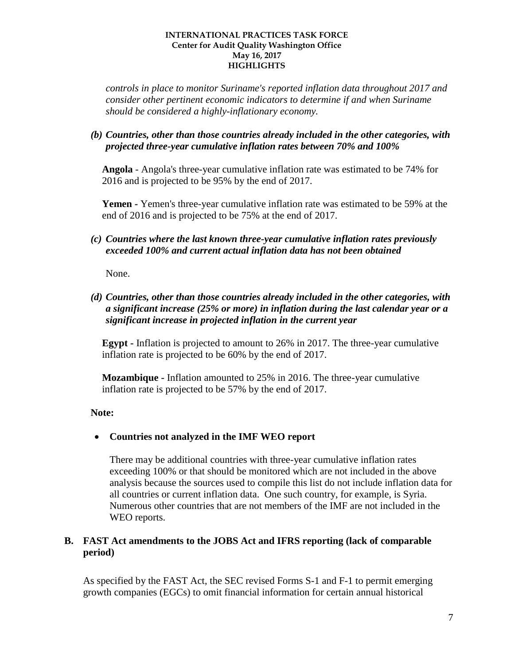*controls in place to monitor Suriname's reported inflation data throughout 2017 and consider other pertinent economic indicators to determine if and when Suriname should be considered a highly-inflationary economy.*

### *(b) Countries, other than those countries already included in the other categories, with projected three-year cumulative inflation rates between 70% and 100%*

**Angola** - Angola's three-year cumulative inflation rate was estimated to be 74% for 2016 and is projected to be 95% by the end of 2017.

**Yemen -** Yemen's three-year cumulative inflation rate was estimated to be 59% at the end of 2016 and is projected to be 75% at the end of 2017.

*(c) Countries where the last known three-year cumulative inflation rates previously exceeded 100% and current actual inflation data has not been obtained*

None.

*(d) Countries, other than those countries already included in the other categories, with a significant increase (25% or more) in inflation during the last calendar year or a significant increase in projected inflation in the current year* 

**Egypt -** Inflation is projected to amount to 26% in 2017. The three-year cumulative inflation rate is projected to be 60% by the end of 2017.

**Mozambique -** Inflation amounted to 25% in 2016. The three-year cumulative inflation rate is projected to be 57% by the end of 2017.

### **Note:**

### • **Countries not analyzed in the IMF WEO report**

There may be additional countries with three-year cumulative inflation rates exceeding 100% or that should be monitored which are not included in the above analysis because the sources used to compile this list do not include inflation data for all countries or current inflation data. One such country, for example, is Syria. Numerous other countries that are not members of the IMF are not included in the WEO reports.

# **B. FAST Act amendments to the JOBS Act and IFRS reporting (lack of comparable period)**

As specified by the FAST Act, the SEC revised Forms S-1 and F-1 to permit emerging growth companies (EGCs) to omit financial information for certain annual historical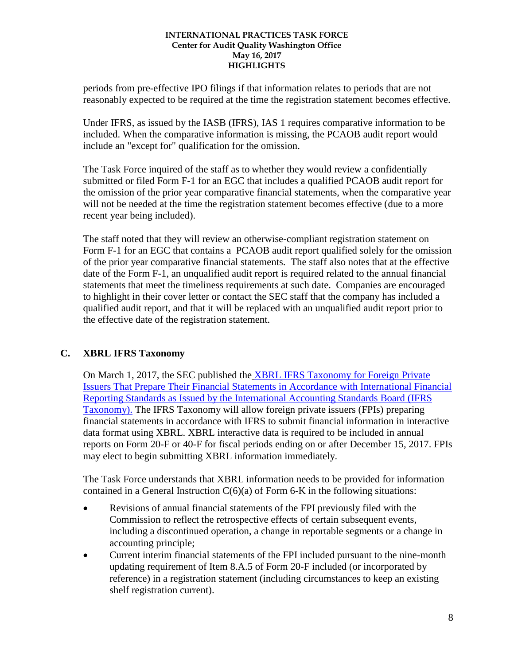periods from pre-effective IPO filings if that information relates to periods that are not reasonably expected to be required at the time the registration statement becomes effective.

Under IFRS, as issued by the IASB (IFRS), IAS 1 requires comparative information to be included. When the comparative information is missing, the PCAOB audit report would include an "except for" qualification for the omission.

The Task Force inquired of the staff as to whether they would review a confidentially submitted or filed Form F-1 for an EGC that includes a qualified PCAOB audit report for the omission of the prior year comparative financial statements, when the comparative year will not be needed at the time the registration statement becomes effective (due to a more recent year being included).

The staff noted that they will review an otherwise-compliant registration statement on Form F-1 for an EGC that contains a PCAOB audit report qualified solely for the omission of the prior year comparative financial statements. The staff also notes that at the effective date of the Form F-1, an unqualified audit report is required related to the annual financial statements that meet the timeliness requirements at such date. Companies are encouraged to highlight in their cover letter or contact the SEC staff that the company has included a qualified audit report, and that it will be replaced with an unqualified audit report prior to the effective date of the registration statement.

# **C. XBRL IFRS Taxonomy**

On March 1, 2017, the SEC published the [XBRL IFRS Taxonomy](https://www.sec.gov/rules/other/2017/33-10320.pdf) for Foreign Private [Issuers That Prepare Their Financial Statements in](https://www.sec.gov/rules/other/2017/33-10320.pdf) Accordance with International Financial Reporting Standards as Issued by the [International Accounting Standards Board](https://www.sec.gov/rules/other/2017/33-10320.pdf) (IFRS [Taxonomy\).](https://www.sec.gov/rules/other/2017/33-10320.pdf) The IFRS Taxonomy will allow foreign private issuers (FPIs) preparing financial statements in accordance with IFRS to submit financial information in interactive data format using XBRL. XBRL interactive data is required to be included in annual reports on Form 20-F or 40-F for fiscal periods ending on or after December 15, 2017. FPIs may elect to begin submitting XBRL information immediately.

The Task Force understands that XBRL information needs to be provided for information contained in a General Instruction  $C(6)(a)$  of Form 6-K in the following situations:

- Revisions of annual financial statements of the FPI previously filed with the Commission to reflect the retrospective effects of certain subsequent events, including a discontinued operation, a change in reportable segments or a change in accounting principle;
- Current interim financial statements of the FPI included pursuant to the nine-month updating requirement of Item 8.A.5 of Form 20-F included (or incorporated by reference) in a registration statement (including circumstances to keep an existing shelf registration current).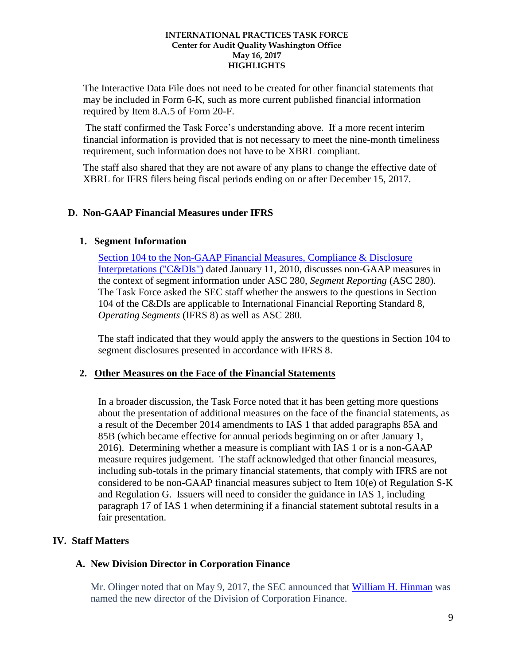The Interactive Data File does not need to be created for other financial statements that may be included in Form 6-K, such as more current published financial information required by Item 8.A.5 of Form 20-F.

The staff confirmed the Task Force's understanding above. If a more recent interim financial information is provided that is not necessary to meet the nine-month timeliness requirement, such information does not have to be XBRL compliant.

The staff also shared that they are not aware of any plans to change the effective date of XBRL for IFRS filers being fiscal periods ending on or after December 15, 2017.

### **D. Non-GAAP Financial Measures under IFRS**

### **1. Segment Information**

[Section 104 to the Non-GAAP Financial Measures, Compliance & Disclosure](https://www.sec.gov/divisions/corpfin/guidance/nongaapinterp.htm)  [Interpretations \("C&DIs"\)](https://www.sec.gov/divisions/corpfin/guidance/nongaapinterp.htm) dated January 11, 2010, discusses non-GAAP measures in the context of segment information under ASC 280, *Segment Reporting* (ASC 280). The Task Force asked the SEC staff whether the answers to the questions in Section 104 of the C&DIs are applicable to International Financial Reporting Standard 8, *Operating Segments* (IFRS 8) as well as ASC 280.

The staff indicated that they would apply the answers to the questions in Section 104 to segment disclosures presented in accordance with IFRS 8.

# **2. Other Measures on the Face of the Financial Statements**

In a broader discussion, the Task Force noted that it has been getting more questions about the presentation of additional measures on the face of the financial statements, as a result of the December 2014 amendments to IAS 1 that added paragraphs 85A and 85B (which became effective for annual periods beginning on or after January 1, 2016). Determining whether a measure is compliant with IAS 1 or is a non-GAAP measure requires judgement. The staff acknowledged that other financial measures, including sub-totals in the primary financial statements, that comply with IFRS are not considered to be non-GAAP financial measures subject to Item 10(e) of Regulation S-K and Regulation G. Issuers will need to consider the guidance in IAS 1, including paragraph 17 of IAS 1 when determining if a financial statement subtotal results in a fair presentation.

# **IV. Staff Matters**

# **A. New Division Director in Corporation Finance**

Mr. Olinger noted that on May 9, 2017, the SEC announced that [William H. Hinman](https://www.sec.gov/news/press-release/2017-97) was named the new director of the Division of Corporation Finance.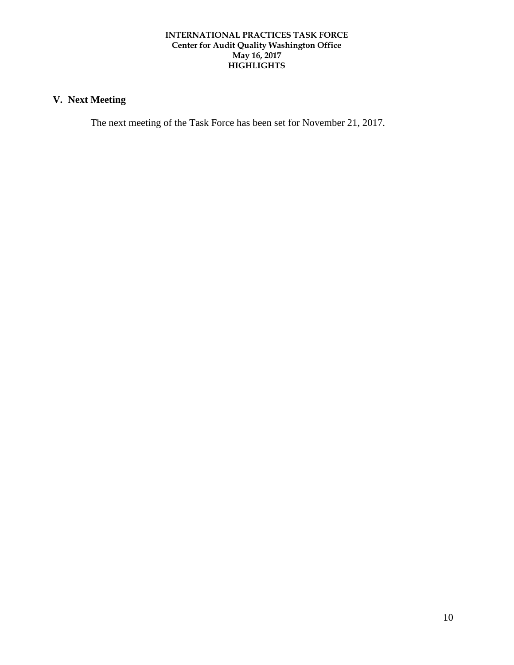# **V. Next Meeting**

The next meeting of the Task Force has been set for November 21, 2017.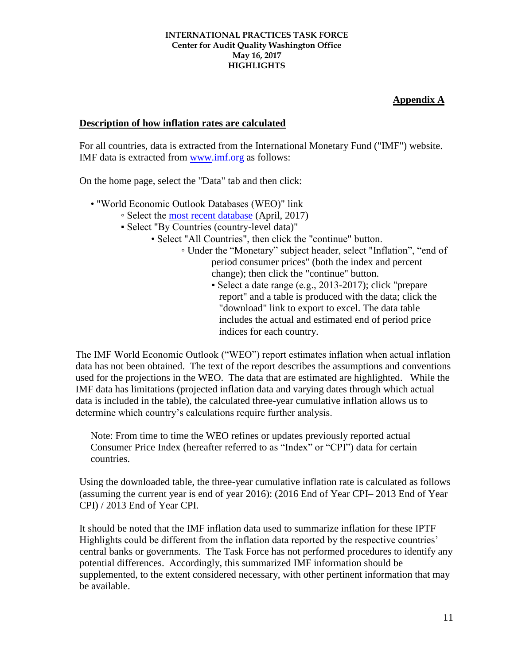# **Appendix A**

### **Description of how inflation rates are calculated**

For all countries, data is extracted from the International Monetary Fund ("IMF") website. IMF data is extracted from [www.](http://www.imf.org/external/index.htm)imf.org as follows:

On the home page, select the "Data" tab and then click:

- "World Economic Outlook Databases (WEO)" link
	- Select the [most recent database](http://www.imf.org/external/pubs/ft/weo/2017/01/weodata/index.aspx) (April, 2017)
	- Select "By Countries (country-level data)"
		- Select "All Countries", then click the "continue" button.
			- Under the "Monetary" subject header, select "Inflation", "end of period consumer prices" (both the index and percent change); then click the "continue" button.
				- Select a date range (e.g., 2013-2017); click "prepare report" and a table is produced with the data; click the "download" link to export to excel. The data table includes the actual and estimated end of period price indices for each country.

The IMF World Economic Outlook ("WEO") report estimates inflation when actual inflation data has not been obtained. The text of the report describes the assumptions and conventions used for the projections in the WEO. The data that are estimated are highlighted. While the IMF data has limitations (projected inflation data and varying dates through which actual data is included in the table), the calculated three-year cumulative inflation allows us to determine which country's calculations require further analysis.

Note: From time to time the WEO refines or updates previously reported actual Consumer Price Index (hereafter referred to as "Index" or "CPI") data for certain countries.

Using the downloaded table, the three-year cumulative inflation rate is calculated as follows (assuming the current year is end of year 2016): (2016 End of Year CPI– 2013 End of Year CPI) / 2013 End of Year CPI.

It should be noted that the IMF inflation data used to summarize inflation for these IPTF Highlights could be different from the inflation data reported by the respective countries' central banks or governments. The Task Force has not performed procedures to identify any potential differences. Accordingly, this summarized IMF information should be supplemented, to the extent considered necessary, with other pertinent information that may be available.